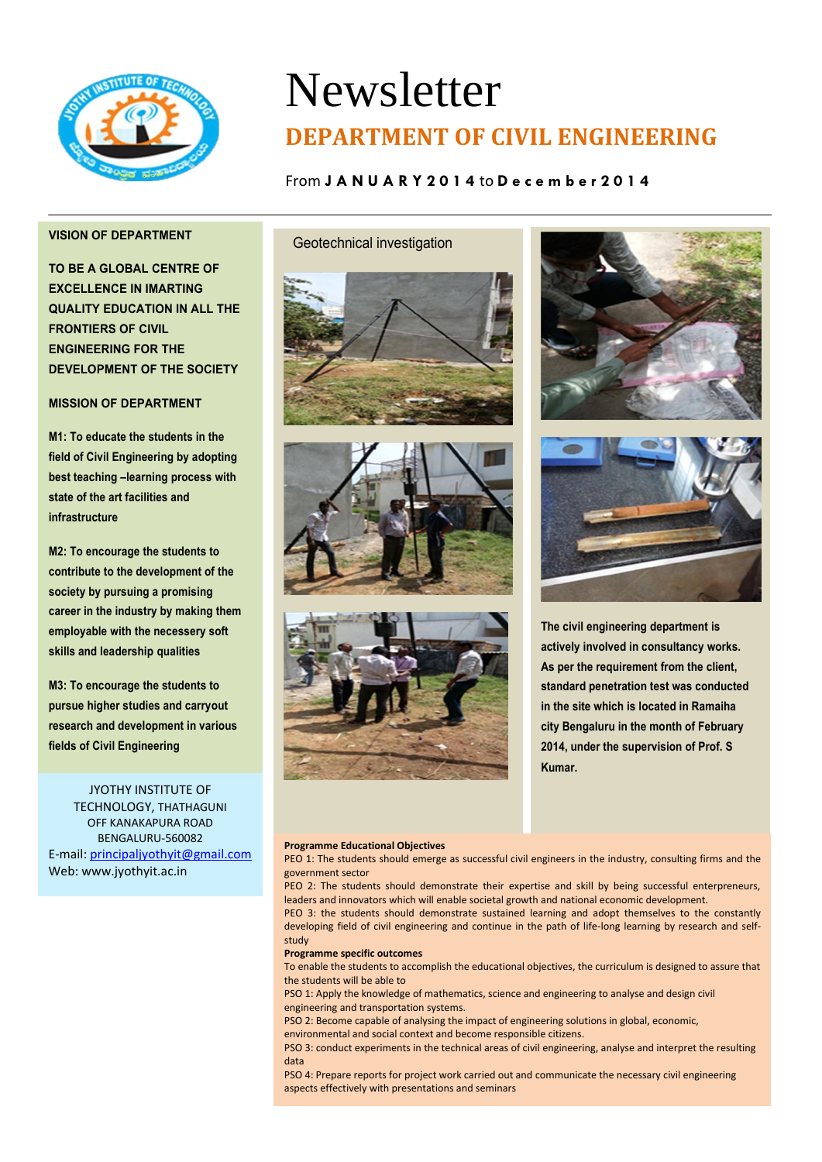

# Newsletter **DEPARTMENT OF CIVIL ENGINEERING**

## From **J A N U A R Y 2 0 1 4** to **D e c e m b e r 2 0 1 4**

## **VISION OF DEPARTMENT**

**TO BE A GLOBAL CENTRE OF EXCELLENCE IN IMARTING QUALITY EDUCATION IN ALL THE FRONTIERS OF CIVIL ENGINEERING FOR THE DEVELOPMENT OF THE SOCIETY**

### **MISSION OF DEPARTMENT**

**M1: To educate the students in the field of Civil Engineering by adopting best teaching –learning process with state of the art facilities and infrastructure**

**M2: To encourage the students to contribute to the development of the society by pursuing a promising career in the industry by making them employable with the necessery soft skills and leadership qualities**

**M3: To encourage the students to pursue higher studies and carryout research and development in various fields of Civil Engineering**

JYOTHY INSTITUTE OF TECHNOLOGY, THATHAGUNI OFF KANAKAPURA ROAD BENGALURU-560082 E-mail[: principaljyothyit@gmail.com](mailto:principaljyothyit@gmail.com) Web: [www.jyothyit.ac.in](http://www.jyothyit.ac.in/)

## Geotechnical investigation











**The civil engineering department is actively involved in consultancy works. As per the requirement from the client, standard penetration test was conducted in the site which is located in Ramaiha city Bengaluru in the month of February 2014, under the supervision of Prof. S Kumar.**

#### **Programme Educational Objectives**

#### PEO 1: The students should emerge as successful civil engineers in the industry, consulting firms and the government sector

PEO 2: The students should demonstrate their expertise and skill by being successful enterpreneurs,

leaders and innovators which will enable societal growth and national economic development. PEO 3: the students should demonstrate sustained learning and adopt themselves to the constantly

developing field of civil engineering and continue in the path of life-long learning by research and selfstudy

#### **Programme specific outcomes**

To enable the students to accomplish the educational objectives, the curriculum is designed to assure that the students will be able to

PSO 1: Apply the knowledge of mathematics, science and engineering to analyse and design civil engineering and transportation systems.

PSO 2: Become capable of analysing the impact of engineering solutions in global, economic, environmental and social context and become responsible citizens.

PSO 3: conduct experiments in the technical areas of civil engineering, analyse and interpret the resulting data

PSO 4: Prepare reports for project work carried out and communicate the necessary civil engineering aspects effectively with presentations and seminars